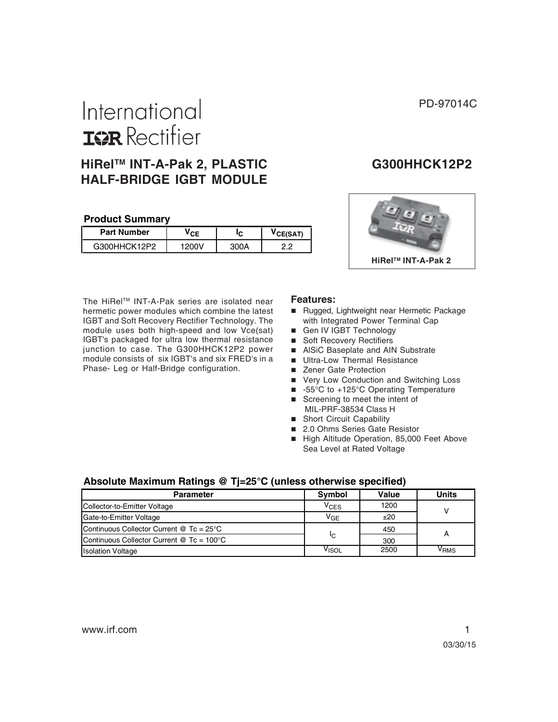# International **ISPR** Rectifier

# **HiRelTM INT-A-Pak 2, PLASTIC G300HHCK12P2 HALF-BRIDGE IGBT MODULE**

#### **Product Summary**

| <b>Part Number</b> | CЕ | ıс | <b>CE(SAT)</b> |  |
|--------------------|----|----|----------------|--|
| G300HHCK12P2       |    |    | ה ה            |  |

The HiRel™ INT-A-Pak series are isolated near hermetic power modules which combine the latest IGBT and Soft Recovery Rectifier Technology. The module uses both high-speed and low Vce(sat) IGBT's packaged for ultra low thermal resistance junction to case. The G300HHCK12P2 power module consists of six IGBT's and six FRED's in a Phase- Leg or Half-Bridge configuration.



#### **Features:**

- Rugged, Lightweight near Hermetic Package with Integrated Power Terminal Cap
- Gen IV IGBT Technology
- Soft Recovery Rectifiers
- AlSiC Baseplate and AIN Substrate
- **Ultra-Low Thermal Resistance**
- Zener Gate Protection
- **Very Low Conduction and Switching Loss**
- -55°C to +125°C Operating Temperature
- Screening to meet the intent of MIL-PRF-38534 Class H
- Short Circuit Capability
- 2.0 Ohms Series Gate Resistor
- High Altitude Operation, 85,000 Feet Above Sea Level at Rated Voltage

#### **Absolute Maximum Ratings @ Tj=25°C (unless otherwise specified)**

| <b>Parameter</b>                                       | <b>Symbol</b>     | Value | Units |  |
|--------------------------------------------------------|-------------------|-------|-------|--|
| Collector-to-Emitter Voltage                           | $\rm v_{\rm CES}$ | 1200  |       |  |
| Gate-to-Emitter Voltage                                | V <sub>GE</sub>   | ±20   |       |  |
| Continuous Collector Current $@$ Tc = 25 $°C$          |                   | 450   |       |  |
| Continuous Collector Current $@$ Tc = 100 $^{\circ}$ C | IC                | 300   |       |  |
| <b>Isolation Voltage</b>                               | Visol             | 2500  | VRMS  |  |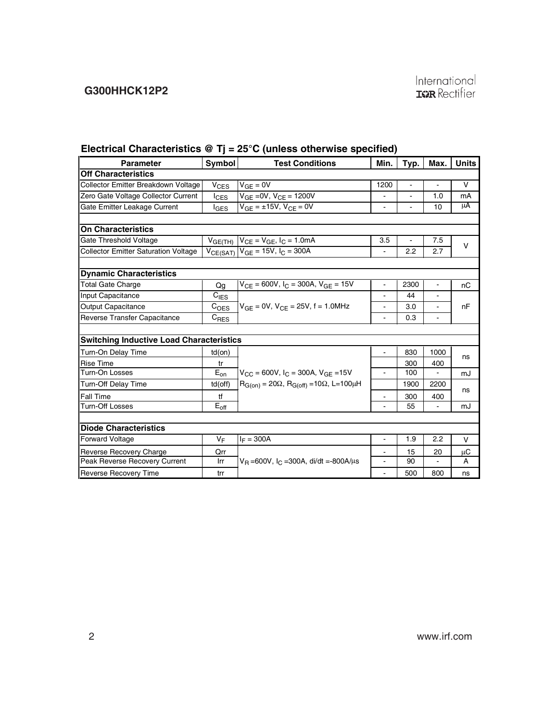# **G300HHCK12P2**

|                                                 |                     | $1000$ $1000$ $1000$ $1000$ $1000$ $1000$ $1000$ $1000$ $1000$ $1000$ $1000$ |                          |                |                          |              |
|-------------------------------------------------|---------------------|------------------------------------------------------------------------------|--------------------------|----------------|--------------------------|--------------|
| <b>Parameter</b>                                | Symbol              | <b>Test Conditions</b>                                                       | Min.                     | Typ.           | Max.                     | <b>Units</b> |
| <b>Off Characteristics</b>                      |                     |                                                                              |                          |                |                          |              |
| Collector Emitter Breakdown Voltage             | $V_{CES}$           | $V_{GE} = 0V$                                                                | 1200                     | $\overline{a}$ | $\overline{a}$           | $\vee$       |
| Zero Gate Voltage Collector Current             | $I_{\text{CES}}$    | $V_{GE} = 0V$ , $V_{CE} = 1200V$                                             | $\frac{1}{2}$            | $\blacksquare$ | 1.0                      | mA           |
| Gate Emitter Leakage Current                    | <sup>I</sup> GES    | $V_{GE} = \pm 15V$ , $V_{CE} = 0V$                                           |                          |                | 10                       | μA           |
| <b>On Characteristics</b>                       |                     |                                                                              |                          |                |                          |              |
|                                                 |                     |                                                                              |                          |                |                          |              |
| Gate Threshold Voltage                          | V <sub>GE(TH)</sub> | $V_{CE} = V_{GE}$ , $I_C = 1.0 \text{mA}$                                    | 3.5                      | $\blacksquare$ | 7.5                      | $\vee$       |
| <b>Collector Emitter Saturation Voltage</b>     |                     | $V_{CE(SAT)}$ $V_{GE}$ = 15V, $I_{C}$ = 300A                                 | ä,                       | 2.2            | 2.7                      |              |
| <b>Dynamic Characteristics</b>                  |                     |                                                                              |                          |                |                          |              |
| <b>Total Gate Charge</b>                        | Qq                  | $V_{CE}$ = 600V, $I_C$ = 300A, $V_{GE}$ = 15V                                | ÷,                       | 2300           | $\overline{a}$           | nC           |
| Input Capacitance                               | $C_{IES}$           |                                                                              |                          | 44             | $\blacksquare$           |              |
| Output Capacitance                              | C <sub>OES</sub>    | $V_{GF} = 0V$ , $V_{CF} = 25V$ , f = 1.0MHz                                  | $\overline{a}$           | 3.0            | $\overline{\phantom{a}}$ | nF           |
| Reverse Transfer Capacitance                    | $C_{RES}$           |                                                                              | ä,                       | 0.3            | $\blacksquare$           |              |
|                                                 |                     |                                                                              |                          |                |                          |              |
| <b>Switching Inductive Load Characteristics</b> |                     |                                                                              |                          |                |                          |              |
| Turn-On Delay Time                              | $td($ on $)$        |                                                                              | $\overline{\phantom{0}}$ | 830            | 1000                     | ns           |
| <b>Rise Time</b>                                | tr                  |                                                                              |                          | 300            | 400                      |              |
| Turn-On Losses                                  | $E_{on}$            | $V_{CC}$ = 600V, $I_C$ = 300A, $V_{GF}$ = 15V                                |                          | 100            |                          | mJ           |
| <b>Turn-Off Delay Time</b>                      | $td($ off $)$       | $R_{G(0n)} = 20\Omega$ , $R_{G(off)} = 10\Omega$ , L=100µH                   |                          | 1900           | 2200                     |              |
| <b>Fall Time</b>                                | tf                  |                                                                              | ۰                        | 300            | 400                      | ns           |
| <b>Turn-Off Losses</b>                          | $E_{\rm off}$       |                                                                              |                          | 55             |                          | mJ           |
|                                                 |                     |                                                                              |                          |                |                          |              |
| <b>Diode Characteristics</b>                    |                     |                                                                              |                          |                |                          |              |
| <b>Forward Voltage</b>                          | $V_F$               | $I_F = 300A$                                                                 | $\frac{1}{2}$            | 1.9            | 2.2                      | V            |
| Reverse Recovery Charge                         | Qrr                 |                                                                              |                          | 15             | 20                       | μC           |
| Peak Reverse Recovery Current                   | Irr                 | $V_B = 600V$ , $I_C = 300A$ , di/dt = 800A/ $\mu$ s                          |                          | 90             |                          | A            |
| <b>Reverse Recovery Time</b>                    | trr                 |                                                                              | ä,                       | 500            | 800                      | ns           |

#### **Electrical Characteristics @ Tj = 25°C (unless otherwise specified)**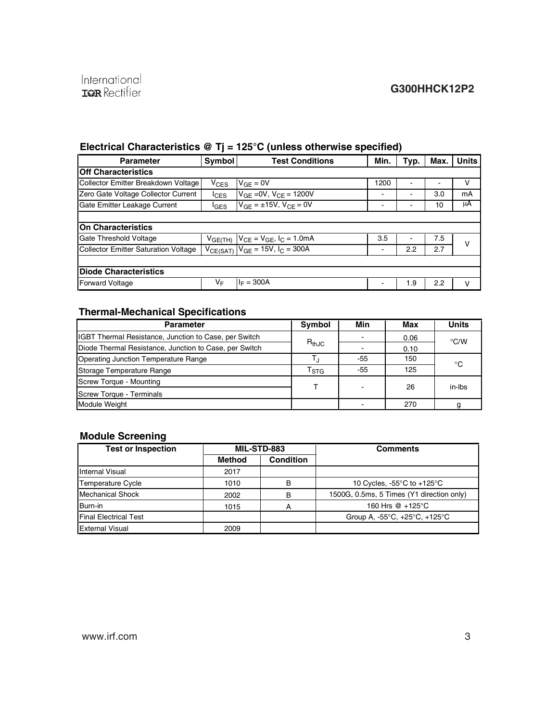# **Electrical Characteristics @ Tj = 125°C (unless otherwise specified)**

| <b>Parameter</b>                            | Symbol           | <b>Test Conditions</b>                         | Min. | Typ. | Max. | <b>Units</b> |  |
|---------------------------------------------|------------------|------------------------------------------------|------|------|------|--------------|--|
| <b>Off Characteristics</b>                  |                  |                                                |      |      |      |              |  |
| Collector Emitter Breakdown Voltage         | $V_{CES}$        | $V_{GF} = 0V$                                  | 1200 |      |      | v            |  |
| Zero Gate Voltage Collector Current         | $_{\text{lcgs}}$ | $V_{GE} = 0V$ , $V_{CE} = 1200V$               | ۰    |      | 3.0  | mA           |  |
| Gate Emitter Leakage Current                | <sup>I</sup> GES | $V_{GF} = \pm 15V$ , $V_{CF} = 0V$             | ٠    |      | 10   | μA           |  |
|                                             |                  |                                                |      |      |      |              |  |
| <b>On Characteristics</b>                   |                  |                                                |      |      |      |              |  |
| <b>Gate Threshold Voltage</b>               |                  | $V_{GE(TH)}$ $V_{CE} = V_{GE}$ , $I_C = 1.0mA$ | 3.5  |      | 7.5  | v            |  |
| <b>Collector Emitter Saturation Voltage</b> |                  | $V_{CE(SAT)}$ $V_{GE}$ = 15V, $I_{C}$ = 300A   | ۰    | 2.2  | 2.7  |              |  |
|                                             |                  |                                                |      |      |      |              |  |
| <b>Diode Characteristics</b>                |                  |                                                |      |      |      |              |  |
| <b>Forward Voltage</b>                      | VF               | $I_F = 300A$                                   |      | 1.9  | 2.2  | v            |  |

# **Thermal-Mechanical Specifications**

| <b>Parameter</b>                                       | <b>Symbol</b>             | Min | Max  | <b>Units</b>  |  |
|--------------------------------------------------------|---------------------------|-----|------|---------------|--|
| IGBT Thermal Resistance, Junction to Case, per Switch  |                           |     | 0.06 | $\degree$ C/W |  |
| Diode Thermal Resistance, Junction to Case, per Switch | $R_{thJC}$                |     | 0.10 |               |  |
| Operating Junction Temperature Range                   |                           | -55 | 150  | °C            |  |
| Storage Temperature Range                              | $\mathsf{T}_{\text{STG}}$ | -55 | 125  |               |  |
| Screw Torque - Mounting                                |                           |     | 26   | in-Ibs        |  |
| Screw Torque - Terminals                               |                           |     |      |               |  |
| <b>Module Weight</b>                                   |                           |     | 270  |               |  |

#### **Module Screening**

| <b>Test or Inspection</b>    | MIL-STD-883   |           | <b>Comments</b>                                             |
|------------------------------|---------------|-----------|-------------------------------------------------------------|
|                              | <b>Method</b> | Condition |                                                             |
| Internal Visual              | 2017          |           |                                                             |
| <b>Temperature Cycle</b>     | 1010          | в         | 10 Cycles, $-55^{\circ}$ C to $+125^{\circ}$ C              |
| <b>Mechanical Shock</b>      | 2002          |           | 1500G, 0.5ms, 5 Times (Y1 direction only)                   |
| Burn-in                      | 1015          |           | 160 Hrs @ +125°C                                            |
| <b>Final Electrical Test</b> |               |           | Group A, $-55^{\circ}$ C, $+25^{\circ}$ C, $+125^{\circ}$ C |
| <b>External Visual</b>       | 2009          |           |                                                             |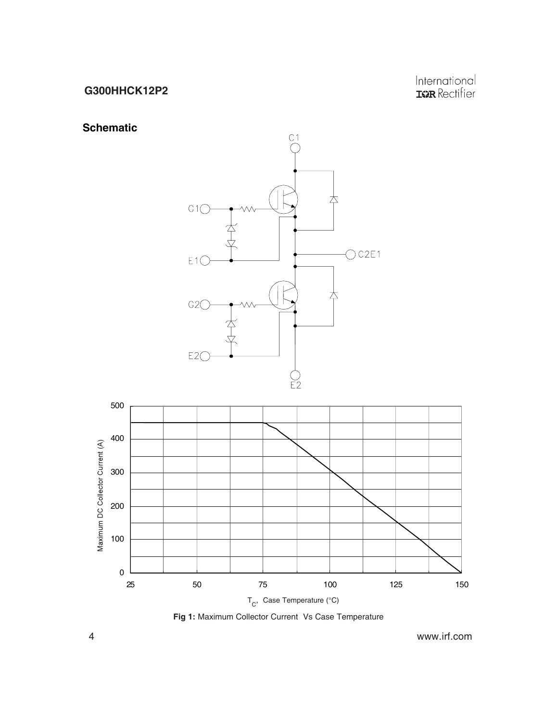# **G300HHCK12P2**

International<br>**IGR** Rectifier

# **Schematic**

500





**Fig 1:** Maximum Collector Current Vs Case Temperature

4 www.irf.com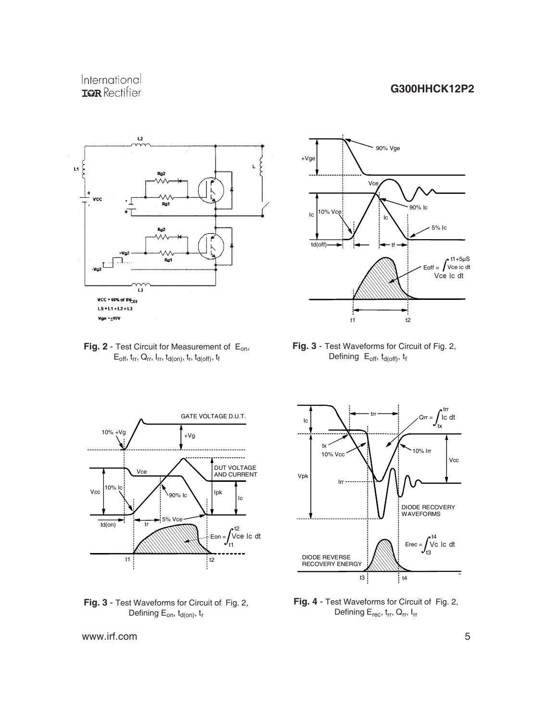# International **IGR** Rectifier

#### **G300HHCK12P2**







 **Fig. 3** - Test Waveforms for Circuit of Fig. 2, Defining  $E_{off}$ ,  $t_{d(off)}$ ,  $t_f$ 







**Fig. 4** - Test Waveforms for Circuit of Fig. 2, Defining E<sub>rec</sub>, t<sub>rr</sub>, Q<sub>rr</sub>, I<sub>rr</sub>

www.irf.com 5